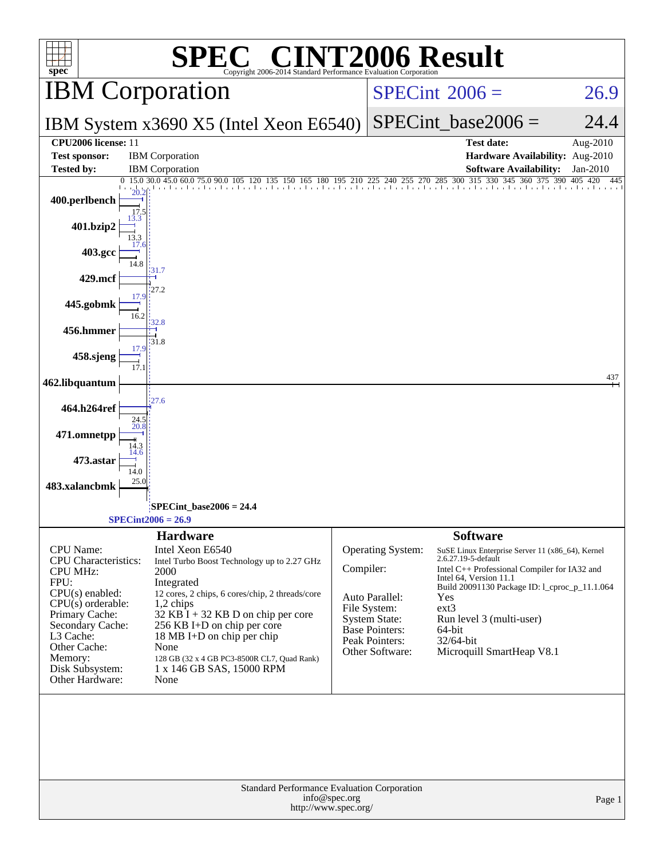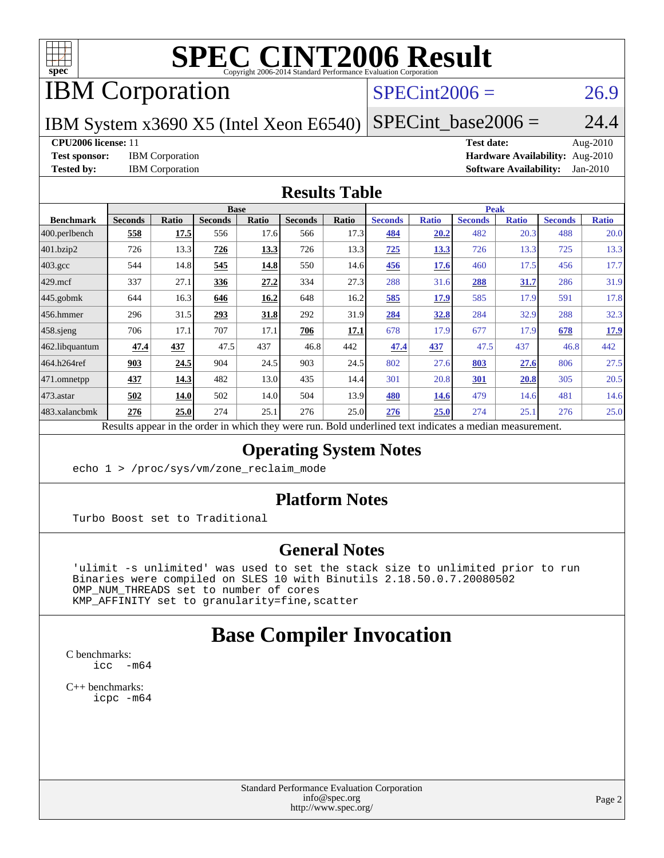

# **[SPEC CINT2006 Result](http://www.spec.org/auto/cpu2006/Docs/result-fields.html#SPECCINT2006Result)**

# IBM Corporation

# $SPECint2006 = 26.9$  $SPECint2006 = 26.9$

IBM System x3690 X5 (Intel Xeon E6540)

 $SPECTnt\_base2006 = 24.4$ 

**[CPU2006 license:](http://www.spec.org/auto/cpu2006/Docs/result-fields.html#CPU2006license)** 11 **[Test date:](http://www.spec.org/auto/cpu2006/Docs/result-fields.html#Testdate)** Aug-2010 **[Test sponsor:](http://www.spec.org/auto/cpu2006/Docs/result-fields.html#Testsponsor)** IBM Corporation **[Hardware Availability:](http://www.spec.org/auto/cpu2006/Docs/result-fields.html#HardwareAvailability)** Aug-2010 **[Tested by:](http://www.spec.org/auto/cpu2006/Docs/result-fields.html#Testedby)** IBM Corporation **[Software Availability:](http://www.spec.org/auto/cpu2006/Docs/result-fields.html#SoftwareAvailability)** Jan-2010

### **[Results Table](http://www.spec.org/auto/cpu2006/Docs/result-fields.html#ResultsTable)**

|                    |                                                                                                          |              | <b>Base</b>    |       |                |       |                |              | <b>Peak</b>    |              |                |              |
|--------------------|----------------------------------------------------------------------------------------------------------|--------------|----------------|-------|----------------|-------|----------------|--------------|----------------|--------------|----------------|--------------|
| <b>Benchmark</b>   | <b>Seconds</b>                                                                                           | <b>Ratio</b> | <b>Seconds</b> | Ratio | <b>Seconds</b> | Ratio | <b>Seconds</b> | <b>Ratio</b> | <b>Seconds</b> | <b>Ratio</b> | <b>Seconds</b> | <b>Ratio</b> |
| $ 400$ .perlbench  | 558                                                                                                      | 17.5         | 556            | 17.6  | 566            | 17.3  | 484            | 20.2         | 482            | 20.3         | 488            | 20.0         |
| 401.bzip2          | 726                                                                                                      | 13.3         | 726            | 13.3  | 726            | 13.3  | 725            | 13.3         | 726            | 13.3         | 725            | 13.3         |
| $403.\mathrm{gcc}$ | 544                                                                                                      | 14.8         | 545            | 14.8  | 550            | 14.6  | <u>456</u>     | 17.6         | 460            | 17.5         | 456            | 17.7         |
| $429$ mcf          | 337                                                                                                      | 27.1         | 336            | 27.2  | 334            | 27.3  | 288            | 31.6         | 288            | 31.7         | 286            | 31.9         |
| $445$ .gobmk       | 644                                                                                                      | 16.3         | 646            | 16.2  | 648            | 16.2  | 585            | 17.9         | 585            | 17.9         | 591            | 17.8         |
| 456.hmmer          | 296                                                                                                      | 31.5         | 293            | 31.8  | 292            | 31.9  | 284            | 32.8         | 284            | 32.9         | 288            | 32.3         |
| $458$ .sjeng       | 706                                                                                                      | 17.1         | 707            | 17.1  | 706            | 17.1  | 678            | 17.9         | 677            | 17.9         | 678            | 17.9         |
| 462.libquantum     | 47.4                                                                                                     | 437          | 47.5           | 437   | 46.8           | 442   | 47.4           | 437          | 47.5           | 437          | 46.8           | 442          |
| 464.h264ref        | 903                                                                                                      | 24.5         | 904            | 24.5  | 903            | 24.5  | 802            | 27.6         | 803            | 27.6         | 806            | 27.5         |
| 471.omnetpp        | 437                                                                                                      | 14.3         | 482            | 13.0  | 435            | 14.4  | 301            | 20.8         | 301            | 20.8         | 305            | 20.5         |
| $473.$ astar       | 502                                                                                                      | 14.0         | 502            | 14.0  | 504            | 13.9  | 480            | <b>14.6</b>  | 479            | 14.6         | 481            | 14.6         |
| 483.xalancbmk      | 276                                                                                                      | 25.0         | 274            | 25.1  | 276            | 25.0  | 276            | 25.0         | 274            | 25.1         | 276            | 25.0         |
|                    | Results appear in the order in which they were run. Bold underlined text indicates a median measurement. |              |                |       |                |       |                |              |                |              |                |              |

### **[Operating System Notes](http://www.spec.org/auto/cpu2006/Docs/result-fields.html#OperatingSystemNotes)**

echo 1 > /proc/sys/vm/zone\_reclaim\_mode

### **[Platform Notes](http://www.spec.org/auto/cpu2006/Docs/result-fields.html#PlatformNotes)**

Turbo Boost set to Traditional

### **[General Notes](http://www.spec.org/auto/cpu2006/Docs/result-fields.html#GeneralNotes)**

 'ulimit -s unlimited' was used to set the stack size to unlimited prior to run Binaries were compiled on SLES 10 with Binutils 2.18.50.0.7.20080502 OMP\_NUM\_THREADS set to number of cores KMP\_AFFINITY set to granularity=fine,scatter

# **[Base Compiler Invocation](http://www.spec.org/auto/cpu2006/Docs/result-fields.html#BaseCompilerInvocation)**

[C benchmarks](http://www.spec.org/auto/cpu2006/Docs/result-fields.html#Cbenchmarks):  $\text{icc}$  -m64

[C++ benchmarks:](http://www.spec.org/auto/cpu2006/Docs/result-fields.html#CXXbenchmarks) [icpc -m64](http://www.spec.org/cpu2006/results/res2010q3/cpu2006-20100831-13129.flags.html#user_CXXbase_intel_icpc_64bit_fc66a5337ce925472a5c54ad6a0de310)

> Standard Performance Evaluation Corporation [info@spec.org](mailto:info@spec.org) <http://www.spec.org/>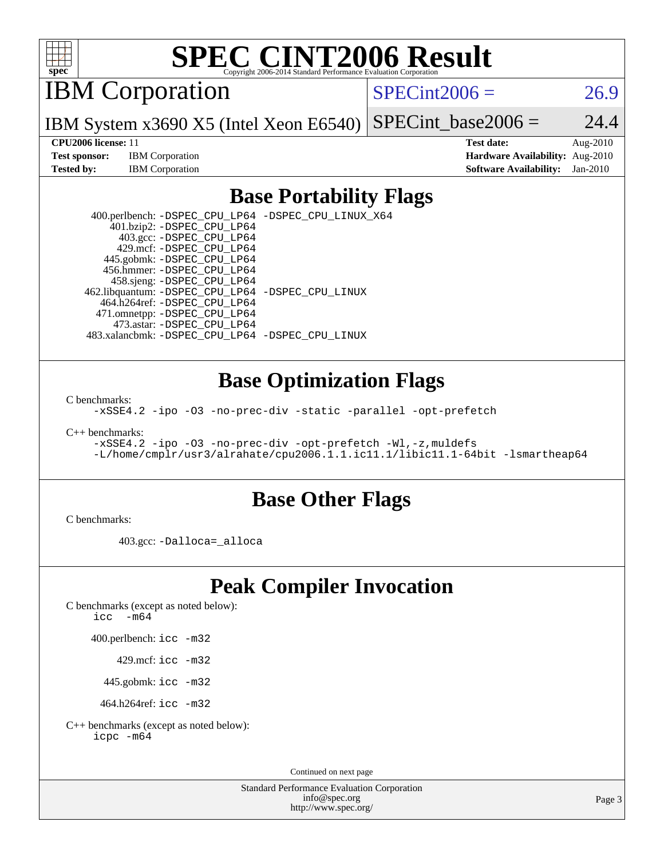

# **[SPEC CINT2006 Result](http://www.spec.org/auto/cpu2006/Docs/result-fields.html#SPECCINT2006Result)**

IBM Corporation

 $SPECint2006 = 26.9$  $SPECint2006 = 26.9$ 

IBM System x3690 X5 (Intel Xeon E6540) SPECint base2006 =  $24.4$ 

**[CPU2006 license:](http://www.spec.org/auto/cpu2006/Docs/result-fields.html#CPU2006license)** 11 **[Test date:](http://www.spec.org/auto/cpu2006/Docs/result-fields.html#Testdate)** Aug-2010 **[Test sponsor:](http://www.spec.org/auto/cpu2006/Docs/result-fields.html#Testsponsor)** IBM Corporation **[Hardware Availability:](http://www.spec.org/auto/cpu2006/Docs/result-fields.html#HardwareAvailability)** Aug-2010 **[Tested by:](http://www.spec.org/auto/cpu2006/Docs/result-fields.html#Testedby)** IBM Corporation **[Software Availability:](http://www.spec.org/auto/cpu2006/Docs/result-fields.html#SoftwareAvailability)** Jan-2010

## **[Base Portability Flags](http://www.spec.org/auto/cpu2006/Docs/result-fields.html#BasePortabilityFlags)**

 400.perlbench: [-DSPEC\\_CPU\\_LP64](http://www.spec.org/cpu2006/results/res2010q3/cpu2006-20100831-13129.flags.html#b400.perlbench_basePORTABILITY_DSPEC_CPU_LP64) [-DSPEC\\_CPU\\_LINUX\\_X64](http://www.spec.org/cpu2006/results/res2010q3/cpu2006-20100831-13129.flags.html#b400.perlbench_baseCPORTABILITY_DSPEC_CPU_LINUX_X64) 401.bzip2: [-DSPEC\\_CPU\\_LP64](http://www.spec.org/cpu2006/results/res2010q3/cpu2006-20100831-13129.flags.html#suite_basePORTABILITY401_bzip2_DSPEC_CPU_LP64) 403.gcc: [-DSPEC\\_CPU\\_LP64](http://www.spec.org/cpu2006/results/res2010q3/cpu2006-20100831-13129.flags.html#suite_basePORTABILITY403_gcc_DSPEC_CPU_LP64) 429.mcf: [-DSPEC\\_CPU\\_LP64](http://www.spec.org/cpu2006/results/res2010q3/cpu2006-20100831-13129.flags.html#suite_basePORTABILITY429_mcf_DSPEC_CPU_LP64) 445.gobmk: [-DSPEC\\_CPU\\_LP64](http://www.spec.org/cpu2006/results/res2010q3/cpu2006-20100831-13129.flags.html#suite_basePORTABILITY445_gobmk_DSPEC_CPU_LP64) 456.hmmer: [-DSPEC\\_CPU\\_LP64](http://www.spec.org/cpu2006/results/res2010q3/cpu2006-20100831-13129.flags.html#suite_basePORTABILITY456_hmmer_DSPEC_CPU_LP64) 458.sjeng: [-DSPEC\\_CPU\\_LP64](http://www.spec.org/cpu2006/results/res2010q3/cpu2006-20100831-13129.flags.html#suite_basePORTABILITY458_sjeng_DSPEC_CPU_LP64) 462.libquantum: [-DSPEC\\_CPU\\_LP64](http://www.spec.org/cpu2006/results/res2010q3/cpu2006-20100831-13129.flags.html#suite_basePORTABILITY462_libquantum_DSPEC_CPU_LP64) [-DSPEC\\_CPU\\_LINUX](http://www.spec.org/cpu2006/results/res2010q3/cpu2006-20100831-13129.flags.html#b462.libquantum_baseCPORTABILITY_DSPEC_CPU_LINUX) 464.h264ref: [-DSPEC\\_CPU\\_LP64](http://www.spec.org/cpu2006/results/res2010q3/cpu2006-20100831-13129.flags.html#suite_basePORTABILITY464_h264ref_DSPEC_CPU_LP64) 471.omnetpp: [-DSPEC\\_CPU\\_LP64](http://www.spec.org/cpu2006/results/res2010q3/cpu2006-20100831-13129.flags.html#suite_basePORTABILITY471_omnetpp_DSPEC_CPU_LP64) 473.astar: [-DSPEC\\_CPU\\_LP64](http://www.spec.org/cpu2006/results/res2010q3/cpu2006-20100831-13129.flags.html#suite_basePORTABILITY473_astar_DSPEC_CPU_LP64) 483.xalancbmk: [-DSPEC\\_CPU\\_LP64](http://www.spec.org/cpu2006/results/res2010q3/cpu2006-20100831-13129.flags.html#suite_basePORTABILITY483_xalancbmk_DSPEC_CPU_LP64) [-DSPEC\\_CPU\\_LINUX](http://www.spec.org/cpu2006/results/res2010q3/cpu2006-20100831-13129.flags.html#b483.xalancbmk_baseCXXPORTABILITY_DSPEC_CPU_LINUX)

## **[Base Optimization Flags](http://www.spec.org/auto/cpu2006/Docs/result-fields.html#BaseOptimizationFlags)**

[C benchmarks](http://www.spec.org/auto/cpu2006/Docs/result-fields.html#Cbenchmarks):

[-xSSE4.2](http://www.spec.org/cpu2006/results/res2010q3/cpu2006-20100831-13129.flags.html#user_CCbase_f-xSSE42_f91528193cf0b216347adb8b939d4107) [-ipo](http://www.spec.org/cpu2006/results/res2010q3/cpu2006-20100831-13129.flags.html#user_CCbase_f-ipo) [-O3](http://www.spec.org/cpu2006/results/res2010q3/cpu2006-20100831-13129.flags.html#user_CCbase_f-O3) [-no-prec-div](http://www.spec.org/cpu2006/results/res2010q3/cpu2006-20100831-13129.flags.html#user_CCbase_f-no-prec-div) [-static](http://www.spec.org/cpu2006/results/res2010q3/cpu2006-20100831-13129.flags.html#user_CCbase_f-static) [-parallel](http://www.spec.org/cpu2006/results/res2010q3/cpu2006-20100831-13129.flags.html#user_CCbase_f-parallel) [-opt-prefetch](http://www.spec.org/cpu2006/results/res2010q3/cpu2006-20100831-13129.flags.html#user_CCbase_f-opt-prefetch)

[C++ benchmarks:](http://www.spec.org/auto/cpu2006/Docs/result-fields.html#CXXbenchmarks)

```
-xSSE4.2 -ipo -O3 -no-prec-div -opt-prefetch -Wl,-z,muldefs
-L/home/cmplr/usr3/alrahate/cpu2006.1.1.ic11.1/libic11.1-64bit -lsmartheap64
```
### **[Base Other Flags](http://www.spec.org/auto/cpu2006/Docs/result-fields.html#BaseOtherFlags)**

[C benchmarks](http://www.spec.org/auto/cpu2006/Docs/result-fields.html#Cbenchmarks):

403.gcc: [-Dalloca=\\_alloca](http://www.spec.org/cpu2006/results/res2010q3/cpu2006-20100831-13129.flags.html#b403.gcc_baseEXTRA_CFLAGS_Dalloca_be3056838c12de2578596ca5467af7f3)

# **[Peak Compiler Invocation](http://www.spec.org/auto/cpu2006/Docs/result-fields.html#PeakCompilerInvocation)**

[C benchmarks \(except as noted below\)](http://www.spec.org/auto/cpu2006/Docs/result-fields.html#Cbenchmarksexceptasnotedbelow):

icc  $-m64$ 

400.perlbench: [icc -m32](http://www.spec.org/cpu2006/results/res2010q3/cpu2006-20100831-13129.flags.html#user_peakCCLD400_perlbench_intel_icc_32bit_a6a621f8d50482236b970c6ac5f55f93)

429.mcf: [icc -m32](http://www.spec.org/cpu2006/results/res2010q3/cpu2006-20100831-13129.flags.html#user_peakCCLD429_mcf_intel_icc_32bit_a6a621f8d50482236b970c6ac5f55f93)

445.gobmk: [icc -m32](http://www.spec.org/cpu2006/results/res2010q3/cpu2006-20100831-13129.flags.html#user_peakCCLD445_gobmk_intel_icc_32bit_a6a621f8d50482236b970c6ac5f55f93)

464.h264ref: [icc -m32](http://www.spec.org/cpu2006/results/res2010q3/cpu2006-20100831-13129.flags.html#user_peakCCLD464_h264ref_intel_icc_32bit_a6a621f8d50482236b970c6ac5f55f93)

[C++ benchmarks \(except as noted below\):](http://www.spec.org/auto/cpu2006/Docs/result-fields.html#CXXbenchmarksexceptasnotedbelow) [icpc -m64](http://www.spec.org/cpu2006/results/res2010q3/cpu2006-20100831-13129.flags.html#user_CXXpeak_intel_icpc_64bit_fc66a5337ce925472a5c54ad6a0de310)

Continued on next page

Standard Performance Evaluation Corporation [info@spec.org](mailto:info@spec.org) <http://www.spec.org/>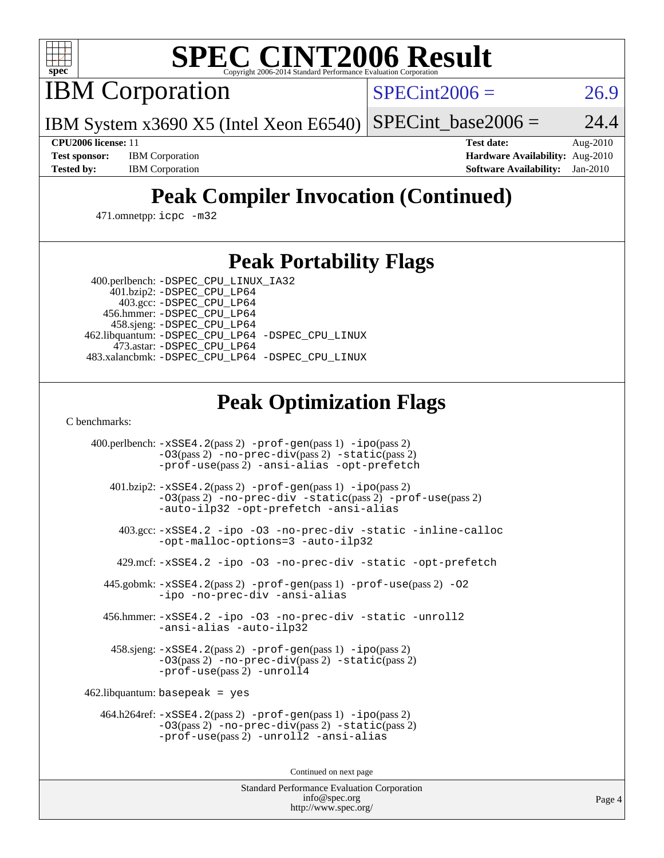

# **[SPEC CINT2006 Result](http://www.spec.org/auto/cpu2006/Docs/result-fields.html#SPECCINT2006Result)**

IBM Corporation

 $SPECint2006 = 26.9$  $SPECint2006 = 26.9$ 

IBM System x3690 X5 (Intel Xeon E6540)  $SPECint_base2006 = 24.4$  $SPECint_base2006 = 24.4$ 

**[CPU2006 license:](http://www.spec.org/auto/cpu2006/Docs/result-fields.html#CPU2006license)** 11 **[Test date:](http://www.spec.org/auto/cpu2006/Docs/result-fields.html#Testdate)** Aug-2010 **[Test sponsor:](http://www.spec.org/auto/cpu2006/Docs/result-fields.html#Testsponsor)** IBM Corporation **[Hardware Availability:](http://www.spec.org/auto/cpu2006/Docs/result-fields.html#HardwareAvailability)** Aug-2010 **[Tested by:](http://www.spec.org/auto/cpu2006/Docs/result-fields.html#Testedby)** IBM Corporation **[Software Availability:](http://www.spec.org/auto/cpu2006/Docs/result-fields.html#SoftwareAvailability)** Jan-2010

# **[Peak Compiler Invocation \(Continued\)](http://www.spec.org/auto/cpu2006/Docs/result-fields.html#PeakCompilerInvocation)**

471.omnetpp: [icpc -m32](http://www.spec.org/cpu2006/results/res2010q3/cpu2006-20100831-13129.flags.html#user_peakCXXLD471_omnetpp_intel_icpc_32bit_4e5a5ef1a53fd332b3c49e69c3330699)

## **[Peak Portability Flags](http://www.spec.org/auto/cpu2006/Docs/result-fields.html#PeakPortabilityFlags)**

 400.perlbench: [-DSPEC\\_CPU\\_LINUX\\_IA32](http://www.spec.org/cpu2006/results/res2010q3/cpu2006-20100831-13129.flags.html#b400.perlbench_peakCPORTABILITY_DSPEC_CPU_LINUX_IA32) 401.bzip2: [-DSPEC\\_CPU\\_LP64](http://www.spec.org/cpu2006/results/res2010q3/cpu2006-20100831-13129.flags.html#suite_peakPORTABILITY401_bzip2_DSPEC_CPU_LP64)

 403.gcc: [-DSPEC\\_CPU\\_LP64](http://www.spec.org/cpu2006/results/res2010q3/cpu2006-20100831-13129.flags.html#suite_peakPORTABILITY403_gcc_DSPEC_CPU_LP64) 456.hmmer: [-DSPEC\\_CPU\\_LP64](http://www.spec.org/cpu2006/results/res2010q3/cpu2006-20100831-13129.flags.html#suite_peakPORTABILITY456_hmmer_DSPEC_CPU_LP64) 458.sjeng: [-DSPEC\\_CPU\\_LP64](http://www.spec.org/cpu2006/results/res2010q3/cpu2006-20100831-13129.flags.html#suite_peakPORTABILITY458_sjeng_DSPEC_CPU_LP64) 462.libquantum: [-DSPEC\\_CPU\\_LP64](http://www.spec.org/cpu2006/results/res2010q3/cpu2006-20100831-13129.flags.html#suite_peakPORTABILITY462_libquantum_DSPEC_CPU_LP64) [-DSPEC\\_CPU\\_LINUX](http://www.spec.org/cpu2006/results/res2010q3/cpu2006-20100831-13129.flags.html#b462.libquantum_peakCPORTABILITY_DSPEC_CPU_LINUX) 473.astar: [-DSPEC\\_CPU\\_LP64](http://www.spec.org/cpu2006/results/res2010q3/cpu2006-20100831-13129.flags.html#suite_peakPORTABILITY473_astar_DSPEC_CPU_LP64) 483.xalancbmk: [-DSPEC\\_CPU\\_LP64](http://www.spec.org/cpu2006/results/res2010q3/cpu2006-20100831-13129.flags.html#suite_peakPORTABILITY483_xalancbmk_DSPEC_CPU_LP64) [-DSPEC\\_CPU\\_LINUX](http://www.spec.org/cpu2006/results/res2010q3/cpu2006-20100831-13129.flags.html#b483.xalancbmk_peakCXXPORTABILITY_DSPEC_CPU_LINUX)

# **[Peak Optimization Flags](http://www.spec.org/auto/cpu2006/Docs/result-fields.html#PeakOptimizationFlags)**

[C benchmarks](http://www.spec.org/auto/cpu2006/Docs/result-fields.html#Cbenchmarks):

 400.perlbench: [-xSSE4.2](http://www.spec.org/cpu2006/results/res2010q3/cpu2006-20100831-13129.flags.html#user_peakPASS2_CFLAGSPASS2_LDCFLAGS400_perlbench_f-xSSE42_f91528193cf0b216347adb8b939d4107)(pass 2) [-prof-gen](http://www.spec.org/cpu2006/results/res2010q3/cpu2006-20100831-13129.flags.html#user_peakPASS1_CFLAGSPASS1_LDCFLAGS400_perlbench_prof_gen_e43856698f6ca7b7e442dfd80e94a8fc)(pass 1) [-ipo](http://www.spec.org/cpu2006/results/res2010q3/cpu2006-20100831-13129.flags.html#user_peakPASS2_CFLAGSPASS2_LDCFLAGS400_perlbench_f-ipo)(pass 2) [-O3](http://www.spec.org/cpu2006/results/res2010q3/cpu2006-20100831-13129.flags.html#user_peakPASS2_CFLAGSPASS2_LDCFLAGS400_perlbench_f-O3)(pass 2) [-no-prec-div](http://www.spec.org/cpu2006/results/res2010q3/cpu2006-20100831-13129.flags.html#user_peakPASS2_CFLAGSPASS2_LDCFLAGS400_perlbench_f-no-prec-div)(pass 2) [-static](http://www.spec.org/cpu2006/results/res2010q3/cpu2006-20100831-13129.flags.html#user_peakPASS2_CFLAGSPASS2_LDCFLAGS400_perlbench_f-static)(pass 2) [-prof-use](http://www.spec.org/cpu2006/results/res2010q3/cpu2006-20100831-13129.flags.html#user_peakPASS2_CFLAGSPASS2_LDCFLAGS400_perlbench_prof_use_bccf7792157ff70d64e32fe3e1250b55)(pass 2) [-ansi-alias](http://www.spec.org/cpu2006/results/res2010q3/cpu2006-20100831-13129.flags.html#user_peakCOPTIMIZE400_perlbench_f-ansi-alias) [-opt-prefetch](http://www.spec.org/cpu2006/results/res2010q3/cpu2006-20100831-13129.flags.html#user_peakCOPTIMIZE400_perlbench_f-opt-prefetch) 401.bzip2: [-xSSE4.2](http://www.spec.org/cpu2006/results/res2010q3/cpu2006-20100831-13129.flags.html#user_peakPASS2_CFLAGSPASS2_LDCFLAGS401_bzip2_f-xSSE42_f91528193cf0b216347adb8b939d4107)(pass 2) [-prof-gen](http://www.spec.org/cpu2006/results/res2010q3/cpu2006-20100831-13129.flags.html#user_peakPASS1_CFLAGSPASS1_LDCFLAGS401_bzip2_prof_gen_e43856698f6ca7b7e442dfd80e94a8fc)(pass 1) [-ipo](http://www.spec.org/cpu2006/results/res2010q3/cpu2006-20100831-13129.flags.html#user_peakPASS2_CFLAGSPASS2_LDCFLAGS401_bzip2_f-ipo)(pass 2) [-O3](http://www.spec.org/cpu2006/results/res2010q3/cpu2006-20100831-13129.flags.html#user_peakPASS2_CFLAGSPASS2_LDCFLAGS401_bzip2_f-O3)(pass 2) [-no-prec-div](http://www.spec.org/cpu2006/results/res2010q3/cpu2006-20100831-13129.flags.html#user_peakCOPTIMIZEPASS2_CFLAGSPASS2_LDCFLAGS401_bzip2_f-no-prec-div) [-static](http://www.spec.org/cpu2006/results/res2010q3/cpu2006-20100831-13129.flags.html#user_peakPASS2_CFLAGSPASS2_LDCFLAGS401_bzip2_f-static)(pass 2) [-prof-use](http://www.spec.org/cpu2006/results/res2010q3/cpu2006-20100831-13129.flags.html#user_peakPASS2_CFLAGSPASS2_LDCFLAGS401_bzip2_prof_use_bccf7792157ff70d64e32fe3e1250b55)(pass 2) [-auto-ilp32](http://www.spec.org/cpu2006/results/res2010q3/cpu2006-20100831-13129.flags.html#user_peakCOPTIMIZE401_bzip2_f-auto-ilp32) [-opt-prefetch](http://www.spec.org/cpu2006/results/res2010q3/cpu2006-20100831-13129.flags.html#user_peakCOPTIMIZE401_bzip2_f-opt-prefetch) [-ansi-alias](http://www.spec.org/cpu2006/results/res2010q3/cpu2006-20100831-13129.flags.html#user_peakCOPTIMIZE401_bzip2_f-ansi-alias) 403.gcc: [-xSSE4.2](http://www.spec.org/cpu2006/results/res2010q3/cpu2006-20100831-13129.flags.html#user_peakCOPTIMIZE403_gcc_f-xSSE42_f91528193cf0b216347adb8b939d4107) [-ipo](http://www.spec.org/cpu2006/results/res2010q3/cpu2006-20100831-13129.flags.html#user_peakCOPTIMIZE403_gcc_f-ipo) [-O3](http://www.spec.org/cpu2006/results/res2010q3/cpu2006-20100831-13129.flags.html#user_peakCOPTIMIZE403_gcc_f-O3) [-no-prec-div](http://www.spec.org/cpu2006/results/res2010q3/cpu2006-20100831-13129.flags.html#user_peakCOPTIMIZE403_gcc_f-no-prec-div) [-static](http://www.spec.org/cpu2006/results/res2010q3/cpu2006-20100831-13129.flags.html#user_peakCOPTIMIZE403_gcc_f-static) [-inline-calloc](http://www.spec.org/cpu2006/results/res2010q3/cpu2006-20100831-13129.flags.html#user_peakCOPTIMIZE403_gcc_f-inline-calloc) [-opt-malloc-options=3](http://www.spec.org/cpu2006/results/res2010q3/cpu2006-20100831-13129.flags.html#user_peakCOPTIMIZE403_gcc_f-opt-malloc-options_13ab9b803cf986b4ee62f0a5998c2238) [-auto-ilp32](http://www.spec.org/cpu2006/results/res2010q3/cpu2006-20100831-13129.flags.html#user_peakCOPTIMIZE403_gcc_f-auto-ilp32) 429.mcf: [-xSSE4.2](http://www.spec.org/cpu2006/results/res2010q3/cpu2006-20100831-13129.flags.html#user_peakCOPTIMIZE429_mcf_f-xSSE42_f91528193cf0b216347adb8b939d4107) [-ipo](http://www.spec.org/cpu2006/results/res2010q3/cpu2006-20100831-13129.flags.html#user_peakCOPTIMIZE429_mcf_f-ipo) [-O3](http://www.spec.org/cpu2006/results/res2010q3/cpu2006-20100831-13129.flags.html#user_peakCOPTIMIZE429_mcf_f-O3) [-no-prec-div](http://www.spec.org/cpu2006/results/res2010q3/cpu2006-20100831-13129.flags.html#user_peakCOPTIMIZE429_mcf_f-no-prec-div) [-static](http://www.spec.org/cpu2006/results/res2010q3/cpu2006-20100831-13129.flags.html#user_peakCOPTIMIZE429_mcf_f-static) [-opt-prefetch](http://www.spec.org/cpu2006/results/res2010q3/cpu2006-20100831-13129.flags.html#user_peakCOPTIMIZE429_mcf_f-opt-prefetch) 445.gobmk: [-xSSE4.2](http://www.spec.org/cpu2006/results/res2010q3/cpu2006-20100831-13129.flags.html#user_peakPASS2_CFLAGSPASS2_LDCFLAGS445_gobmk_f-xSSE42_f91528193cf0b216347adb8b939d4107)(pass 2) [-prof-gen](http://www.spec.org/cpu2006/results/res2010q3/cpu2006-20100831-13129.flags.html#user_peakPASS1_CFLAGSPASS1_LDCFLAGS445_gobmk_prof_gen_e43856698f6ca7b7e442dfd80e94a8fc)(pass 1) [-prof-use](http://www.spec.org/cpu2006/results/res2010q3/cpu2006-20100831-13129.flags.html#user_peakPASS2_CFLAGSPASS2_LDCFLAGS445_gobmk_prof_use_bccf7792157ff70d64e32fe3e1250b55)(pass 2) [-O2](http://www.spec.org/cpu2006/results/res2010q3/cpu2006-20100831-13129.flags.html#user_peakCOPTIMIZE445_gobmk_f-O2) [-ipo](http://www.spec.org/cpu2006/results/res2010q3/cpu2006-20100831-13129.flags.html#user_peakCOPTIMIZE445_gobmk_f-ipo) [-no-prec-div](http://www.spec.org/cpu2006/results/res2010q3/cpu2006-20100831-13129.flags.html#user_peakCOPTIMIZE445_gobmk_f-no-prec-div) [-ansi-alias](http://www.spec.org/cpu2006/results/res2010q3/cpu2006-20100831-13129.flags.html#user_peakCOPTIMIZE445_gobmk_f-ansi-alias) 456.hmmer: [-xSSE4.2](http://www.spec.org/cpu2006/results/res2010q3/cpu2006-20100831-13129.flags.html#user_peakCOPTIMIZE456_hmmer_f-xSSE42_f91528193cf0b216347adb8b939d4107) [-ipo](http://www.spec.org/cpu2006/results/res2010q3/cpu2006-20100831-13129.flags.html#user_peakCOPTIMIZE456_hmmer_f-ipo) [-O3](http://www.spec.org/cpu2006/results/res2010q3/cpu2006-20100831-13129.flags.html#user_peakCOPTIMIZE456_hmmer_f-O3) [-no-prec-div](http://www.spec.org/cpu2006/results/res2010q3/cpu2006-20100831-13129.flags.html#user_peakCOPTIMIZE456_hmmer_f-no-prec-div) [-static](http://www.spec.org/cpu2006/results/res2010q3/cpu2006-20100831-13129.flags.html#user_peakCOPTIMIZE456_hmmer_f-static) [-unroll2](http://www.spec.org/cpu2006/results/res2010q3/cpu2006-20100831-13129.flags.html#user_peakCOPTIMIZE456_hmmer_f-unroll_784dae83bebfb236979b41d2422d7ec2) [-ansi-alias](http://www.spec.org/cpu2006/results/res2010q3/cpu2006-20100831-13129.flags.html#user_peakCOPTIMIZE456_hmmer_f-ansi-alias) [-auto-ilp32](http://www.spec.org/cpu2006/results/res2010q3/cpu2006-20100831-13129.flags.html#user_peakCOPTIMIZE456_hmmer_f-auto-ilp32) 458.sjeng: [-xSSE4.2](http://www.spec.org/cpu2006/results/res2010q3/cpu2006-20100831-13129.flags.html#user_peakPASS2_CFLAGSPASS2_LDCFLAGS458_sjeng_f-xSSE42_f91528193cf0b216347adb8b939d4107)(pass 2) [-prof-gen](http://www.spec.org/cpu2006/results/res2010q3/cpu2006-20100831-13129.flags.html#user_peakPASS1_CFLAGSPASS1_LDCFLAGS458_sjeng_prof_gen_e43856698f6ca7b7e442dfd80e94a8fc)(pass 1) [-ipo](http://www.spec.org/cpu2006/results/res2010q3/cpu2006-20100831-13129.flags.html#user_peakPASS2_CFLAGSPASS2_LDCFLAGS458_sjeng_f-ipo)(pass 2) [-O3](http://www.spec.org/cpu2006/results/res2010q3/cpu2006-20100831-13129.flags.html#user_peakPASS2_CFLAGSPASS2_LDCFLAGS458_sjeng_f-O3)(pass 2) [-no-prec-div](http://www.spec.org/cpu2006/results/res2010q3/cpu2006-20100831-13129.flags.html#user_peakPASS2_CFLAGSPASS2_LDCFLAGS458_sjeng_f-no-prec-div)(pass 2) [-static](http://www.spec.org/cpu2006/results/res2010q3/cpu2006-20100831-13129.flags.html#user_peakPASS2_CFLAGSPASS2_LDCFLAGS458_sjeng_f-static)(pass 2) [-prof-use](http://www.spec.org/cpu2006/results/res2010q3/cpu2006-20100831-13129.flags.html#user_peakPASS2_CFLAGSPASS2_LDCFLAGS458_sjeng_prof_use_bccf7792157ff70d64e32fe3e1250b55)(pass 2) [-unroll4](http://www.spec.org/cpu2006/results/res2010q3/cpu2006-20100831-13129.flags.html#user_peakCOPTIMIZE458_sjeng_f-unroll_4e5e4ed65b7fd20bdcd365bec371b81f) 462.libquantum: basepeak = yes 464.h264ref: [-xSSE4.2](http://www.spec.org/cpu2006/results/res2010q3/cpu2006-20100831-13129.flags.html#user_peakPASS2_CFLAGSPASS2_LDCFLAGS464_h264ref_f-xSSE42_f91528193cf0b216347adb8b939d4107)(pass 2) [-prof-gen](http://www.spec.org/cpu2006/results/res2010q3/cpu2006-20100831-13129.flags.html#user_peakPASS1_CFLAGSPASS1_LDCFLAGS464_h264ref_prof_gen_e43856698f6ca7b7e442dfd80e94a8fc)(pass 1) [-ipo](http://www.spec.org/cpu2006/results/res2010q3/cpu2006-20100831-13129.flags.html#user_peakPASS2_CFLAGSPASS2_LDCFLAGS464_h264ref_f-ipo)(pass 2) [-O3](http://www.spec.org/cpu2006/results/res2010q3/cpu2006-20100831-13129.flags.html#user_peakPASS2_CFLAGSPASS2_LDCFLAGS464_h264ref_f-O3)(pass 2) [-no-prec-div](http://www.spec.org/cpu2006/results/res2010q3/cpu2006-20100831-13129.flags.html#user_peakPASS2_CFLAGSPASS2_LDCFLAGS464_h264ref_f-no-prec-div)(pass 2) [-static](http://www.spec.org/cpu2006/results/res2010q3/cpu2006-20100831-13129.flags.html#user_peakPASS2_CFLAGSPASS2_LDCFLAGS464_h264ref_f-static)(pass 2) [-prof-use](http://www.spec.org/cpu2006/results/res2010q3/cpu2006-20100831-13129.flags.html#user_peakPASS2_CFLAGSPASS2_LDCFLAGS464_h264ref_prof_use_bccf7792157ff70d64e32fe3e1250b55)(pass 2) [-unroll2](http://www.spec.org/cpu2006/results/res2010q3/cpu2006-20100831-13129.flags.html#user_peakCOPTIMIZE464_h264ref_f-unroll_784dae83bebfb236979b41d2422d7ec2) [-ansi-alias](http://www.spec.org/cpu2006/results/res2010q3/cpu2006-20100831-13129.flags.html#user_peakCOPTIMIZE464_h264ref_f-ansi-alias)

Continued on next page

Standard Performance Evaluation Corporation [info@spec.org](mailto:info@spec.org) <http://www.spec.org/>